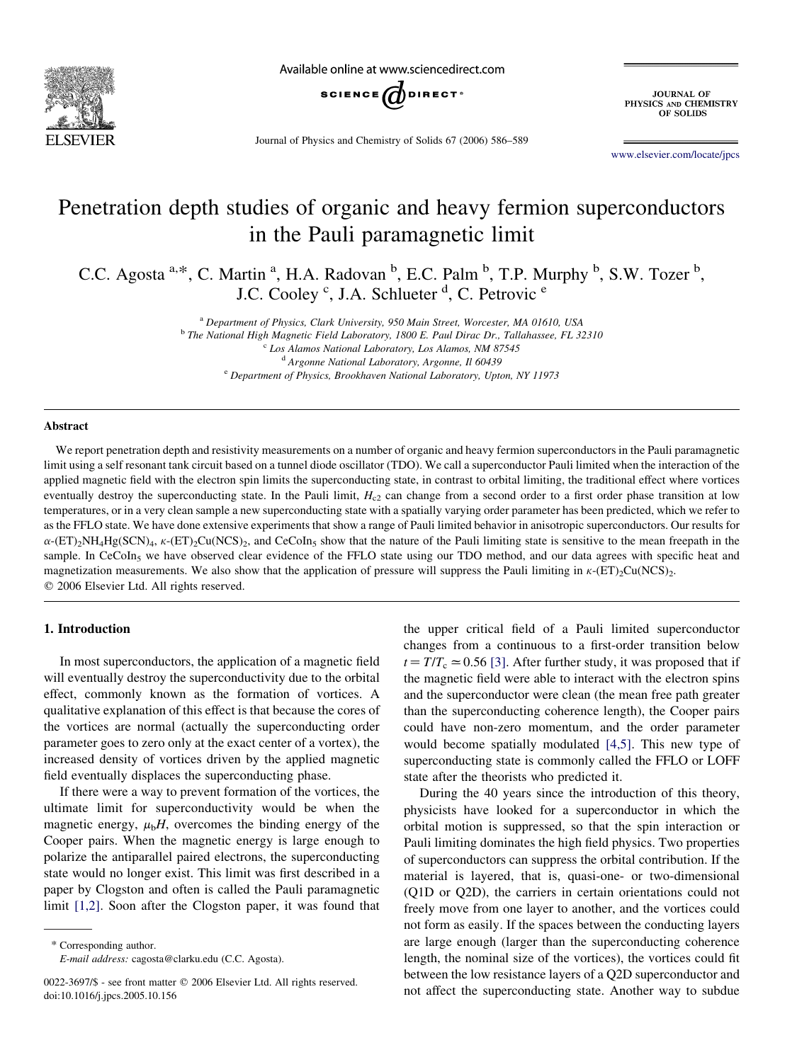

Available online at www.sciencedirect.com



Journal of Physics and Chemistry of Solids 67 (2006) 586–589

**JOURNAL OF** PHYSICS AND CHEMISTRY OF SOLIDS

[www.elsevier.com/locate/jpcs](http://www.elsevier.com/locate/jpcs)

# Penetration depth studies of organic and heavy fermion superconductors in the Pauli paramagnetic limit

C.C. Agosta <sup>a,\*</sup>, C. Martin <sup>a</sup>, H.A. Radovan <sup>b</sup>, E.C. Palm <sup>b</sup>, T.P. Murphy <sup>b</sup>, S.W. Tozer <sup>b</sup>, J.C. Cooley <sup>c</sup>, J.A. Schlueter <sup>d</sup>, C. Petrovic <sup>e</sup>

<sup>a</sup> Department of Physics, Clark University, 950 Main Street, Worcester, MA 01610, USA

<sup>b</sup> The National High Magnetic Field Laboratory, 1800 E. Paul Dirac Dr., Tallahassee, FL 32310

<sup>c</sup> Los Alamos National Laboratory, Los Alamos, NM 87545

<sup>d</sup> Argonne National Laboratory, Argonne, Il 60439

<sup>e</sup> Department of Physics, Brookhaven National Laboratory, Upton, NY 11973

## Abstract

We report penetration depth and resistivity measurements on a number of organic and heavy fermion superconductors in the Pauli paramagnetic limit using a self resonant tank circuit based on a tunnel diode oscillator (TDO). We call a superconductor Pauli limited when the interaction of the applied magnetic field with the electron spin limits the superconducting state, in contrast to orbital limiting, the traditional effect where vortices eventually destroy the superconducting state. In the Pauli limit,  $H<sub>c2</sub>$  can change from a second order to a first order phase transition at low temperatures, or in a very clean sample a new superconducting state with a spatially varying order parameter has been predicted, which we refer to as the FFLO state. We have done extensive experiments that show a range of Pauli limited behavior in anisotropic superconductors. Our results for  $\alpha$ -(ET)<sub>2</sub>NH<sub>4</sub>Hg(SCN)<sub>4</sub>,  $\kappa$ -(ET)<sub>2</sub>Cu(NCS)<sub>2</sub>, and CeCoIn<sub>5</sub> show that the nature of the Pauli limiting state is sensitive to the mean freepath in the sample. In CeCoIn<sub>5</sub> we have observed clear evidence of the FFLO state using our TDO method, and our data agrees with specific heat and magnetization measurements. We also show that the application of pressure will suppress the Pauli limiting in  $\kappa$ -(ET)<sub>2</sub>Cu(NCS)<sub>2</sub>.  $Q$  2006 Elsevier Ltd. All rights reserved.

## 1. Introduction

In most superconductors, the application of a magnetic field will eventually destroy the superconductivity due to the orbital effect, commonly known as the formation of vortices. A qualitative explanation of this effect is that because the cores of the vortices are normal (actually the superconducting order parameter goes to zero only at the exact center of a vortex), the increased density of vortices driven by the applied magnetic field eventually displaces the superconducting phase.

If there were a way to prevent formation of the vortices, the ultimate limit for superconductivity would be when the magnetic energy,  $\mu_b H$ , overcomes the binding energy of the Cooper pairs. When the magnetic energy is large enough to polarize the antiparallel paired electrons, the superconducting state would no longer exist. This limit was first described in a paper by Clogston and often is called the Pauli paramagnetic limit [\[1,2\].](#page-3-0) Soon after the Clogston paper, it was found that

\* Corresponding author. E-mail address: cagosta@clarku.edu (C.C. Agosta). the upper critical field of a Pauli limited superconductor changes from a continuous to a first-order transition below  $t=T/T_c \approx 0.56$  [\[3\].](#page-3-0) After further study, it was proposed that if the magnetic field were able to interact with the electron spins and the superconductor were clean (the mean free path greater than the superconducting coherence length), the Cooper pairs could have non-zero momentum, and the order parameter would become spatially modulated [\[4,5\].](#page-3-0) This new type of superconducting state is commonly called the FFLO or LOFF state after the theorists who predicted it.

During the 40 years since the introduction of this theory, physicists have looked for a superconductor in which the orbital motion is suppressed, so that the spin interaction or Pauli limiting dominates the high field physics. Two properties of superconductors can suppress the orbital contribution. If the material is layered, that is, quasi-one- or two-dimensional (Q1D or Q2D), the carriers in certain orientations could not freely move from one layer to another, and the vortices could not form as easily. If the spaces between the conducting layers are large enough (larger than the superconducting coherence length, the nominal size of the vortices), the vortices could fit between the low resistance layers of a Q2D superconductor and not affect the superconducting state. Another way to subdue

<sup>0022-3697/\$ -</sup> see front matter © 2006 Elsevier Ltd. All rights reserved. doi:10.1016/j.jpcs.2005.10.156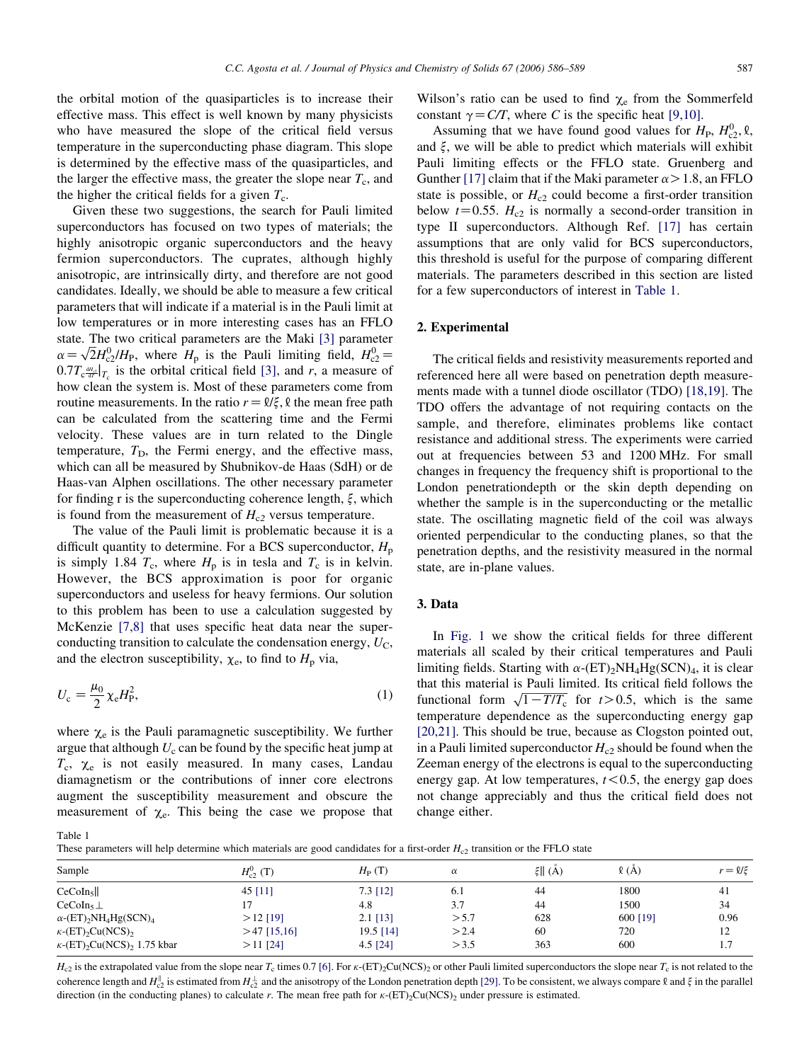<span id="page-1-0"></span>the orbital motion of the quasiparticles is to increase their effective mass. This effect is well known by many physicists who have measured the slope of the critical field versus temperature in the superconducting phase diagram. This slope is determined by the effective mass of the quasiparticles, and the larger the effective mass, the greater the slope near  $T_c$ , and the higher the critical fields for a given  $T_c$ .

Given these two suggestions, the search for Pauli limited superconductors has focused on two types of materials; the highly anisotropic organic superconductors and the heavy fermion superconductors. The cuprates, although highly anisotropic, are intrinsically dirty, and therefore are not good candidates. Ideally, we should be able to measure a few critical parameters that will indicate if a material is in the Pauli limit at low temperatures or in more interesting cases has an FFLO state. The two critical parameters are the Maki [\[3\]](#page-3-0) parameter state. The two critical parameters are the Maki [3] parameter  $\alpha = \sqrt{2}H_{Q}^{0}/H_{P}$ , where  $H_{p}$  is the Pauli limiting field,  $H_{Q}^{0} =$  $0.7T_c \frac{dH_c}{dT} \big|_{T_c}$  is the orbital critical field [\[3\],](#page-3-0) and r, a measure of how clean the system is. Most of these parameters come from routine measurements. In the ratio  $r=\ell/\xi$ ,  $\ell$  the mean free path can be calculated from the scattering time and the Fermi velocity. These values are in turn related to the Dingle temperature,  $T<sub>D</sub>$ , the Fermi energy, and the effective mass, which can all be measured by Shubnikov-de Haas (SdH) or de Haas-van Alphen oscillations. The other necessary parameter for finding r is the superconducting coherence length,  $\xi$ , which is found from the measurement of  $H_{c2}$  versus temperature.

The value of the Pauli limit is problematic because it is a difficult quantity to determine. For a BCS superconductor,  $H_p$ is simply 1.84  $T_c$ , where  $H_p$  is in tesla and  $T_c$  is in kelvin. However, the BCS approximation is poor for organic superconductors and useless for heavy fermions. Our solution to this problem has been to use a calculation suggested by McKenzie [\[7,8\]](#page-3-0) that uses specific heat data near the superconducting transition to calculate the condensation energy,  $U_{\rm C}$ , and the electron susceptibility,  $\chi_e$ , to find to  $H_p$  via,

$$
U_{\rm c} = \frac{\mu_0}{2} \chi_{\rm e} H_{\rm P}^2,\tag{1}
$$

where  $\chi_e$  is the Pauli paramagnetic susceptibility. We further argue that although  $U_c$  can be found by the specific heat jump at  $T_c$ ,  $\chi_e$  is not easily measured. In many cases, Landau diamagnetism or the contributions of inner core electrons augment the susceptibility measurement and obscure the measurement of  $\chi_e$ . This being the case we propose that Wilson's ratio can be used to find  $\chi_e$  from the Sommerfeld constant  $\gamma = C/T$ , where C is the specific heat [\[9,10\].](#page-3-0)

Assuming that we have found good values for  $H_P$ ,  $H_{c2}^0$ ,  $\ell$ , and  $\xi$ , we will be able to predict which materials will exhibit Pauli limiting effects or the FFLO state. Gruenberg and Gunther [\[17\]](#page-3-0) claim that if the Maki parameter  $\alpha > 1.8$ , an FFLO state is possible, or  $H_{c2}$  could become a first-order transition below  $t=0.55$ .  $H_{c2}$  is normally a second-order transition in type II superconductors. Although Ref. [\[17\]](#page-3-0) has certain assumptions that are only valid for BCS superconductors, this threshold is useful for the purpose of comparing different materials. The parameters described in this section are listed for a few superconductors of interest in Table 1.

#### 2. Experimental

The critical fields and resistivity measurements reported and referenced here all were based on penetration depth measurements made with a tunnel diode oscillator (TDO) [\[18,19\].](#page-3-0) The TDO offers the advantage of not requiring contacts on the sample, and therefore, eliminates problems like contact resistance and additional stress. The experiments were carried out at frequencies between 53 and 1200 MHz. For small changes in frequency the frequency shift is proportional to the London penetrationdepth or the skin depth depending on whether the sample is in the superconducting or the metallic state. The oscillating magnetic field of the coil was always oriented perpendicular to the conducting planes, so that the penetration depths, and the resistivity measured in the normal state, are in-plane values.

# 3. Data

In [Fig. 1](#page-2-0) we show the critical fields for three different materials all scaled by their critical temperatures and Pauli limiting fields. Starting with  $\alpha$ -(ET)<sub>2</sub>NH<sub>4</sub>Hg(SCN)<sub>4</sub>, it is clear that this material is Pauli limited. Its critical field follows the that this material is Pauli fiffified. Its critical field follows the functional form  $\sqrt{1-T/T_c}$  for  $t > 0.5$ , which is the same temperature dependence as the superconducting energy gap [\[20,21\].](#page-3-0) This should be true, because as Clogston pointed out, in a Pauli limited superconductor  $H_{c2}$  should be found when the Zeeman energy of the electrons is equal to the superconducting energy gap. At low temperatures,  $t < 0.5$ , the energy gap does not change appreciably and thus the critical field does not change either.

Table 1

These parameters will help determine which materials are good candidates for a first-order  $H_{c2}$  transition or the FFLO state

| Sample                                                           | $H_{c2}^0$ (T) | $H_P(T)$   | $\alpha$ | $\ \xi\ $ (Å) | $\ell(A)$ | $r = \ell/\xi$ |
|------------------------------------------------------------------|----------------|------------|----------|---------------|-----------|----------------|
| CeCoIn <sub>5</sub>                                              | 45 $[11]$      | $7.3$ [12] | 6.1      | 44            | 1800      | 41             |
| $CeCoIn5$ $\perp$                                                |                | 4.8        | 3.7      | 44            | 1500      | 34             |
| $\alpha$ -(ET) <sub>2</sub> NH <sub>4</sub> Hg(SCN) <sub>4</sub> | $>12$ [19]     | $2.1$ [13] | > 5.7    | 628           | 600 [19]  | 0.96           |
| $\kappa$ -(ET) <sub>2</sub> Cu(NCS) <sub>2</sub>                 | $>47$ [15,16]  | 19.5 [14]  | >2.4     | 60            | 720       | 12             |
| $\kappa$ -(ET) <sub>2</sub> Cu(NCS) <sub>2</sub> 1.75 kbar       | $>11$ [24]     | $4.5$ [24] | > 3.5    | 363           | 600       | 1.7            |

 $H_{c2}$  is the extrapolated value from the slope near  $T_c$  times 0.7 [\[6\]](#page-3-0). For  $\kappa$ -(ET)<sub>2</sub>Cu(NCS)<sub>2</sub> or other Pauli limited superconductors the slope near  $T_c$  is not related to the coherence length and  $H_{c2}^{\parallel}$  is estimated from  $H_{c2}^{\perp}$  and the anisotropy of the London penetration depth [\[29\]](#page-3-0). To be consistent, we always compare  $\ell$  and  $\xi$  in the parallel direction (in the conducting planes) to calculate r. The mean free path for  $\kappa$ -(ET)<sub>2</sub>Cu(NCS)<sub>2</sub> under pressure is estimated.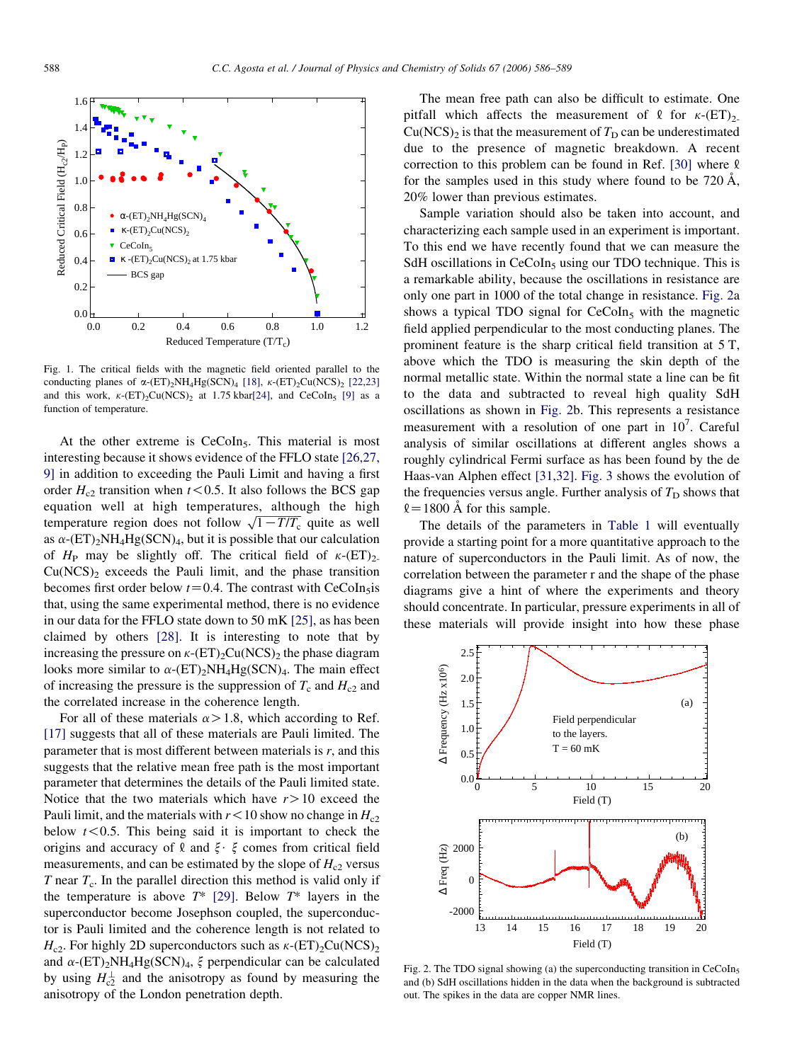<span id="page-2-0"></span>

Fig. 1. The critical fields with the magnetic field oriented parallel to the conducting planes of  $\alpha$ -(ET)<sub>2</sub>NH<sub>4</sub>Hg(SCN)<sub>4</sub> [\[18\],](#page-3-0)  $\kappa$ -(ET)<sub>2</sub>Cu(NCS)<sub>2</sub> [\[22,23\]](#page-3-0) and this work,  $\kappa$ -(ET)<sub>2</sub>Cu(NCS)<sub>2</sub> at 1.75 kbar[\[24\],](#page-3-0) and CeCoIn<sub>5</sub> [\[9\]](#page-3-0) as a function of temperature.

At the other extreme is CeCoIn<sub>5</sub>. This material is most interesting because it shows evidence of the FFLO state [\[26,27,](#page-3-0) [9\]](#page-3-0) in addition to exceeding the Pauli Limit and having a first order  $H_{c2}$  transition when  $t < 0.5$ . It also follows the BCS gap equation well at high temperatures, although the high equation well at high temperatures, annough the ingite<br>temperature region does not follow  $\sqrt{1 - T/T_c}$  quite as well as  $\alpha$ -(ET)<sub>2</sub>NH<sub>4</sub>Hg(SCN)<sub>4</sub>, but it is possible that our calculation of  $H_P$  may be slightly off. The critical field of  $\kappa$ -(ET)<sub>2</sub>.  $Cu(NCS)<sub>2</sub>$  exceeds the Pauli limit, and the phase transition becomes first order below  $t=0.4$ . The contrast with CeCoIn<sub>5</sub>is that, using the same experimental method, there is no evidence in our data for the FFLO state down to 50 mK [\[25\],](#page-3-0) as has been claimed by others [\[28\].](#page-3-0) It is interesting to note that by increasing the pressure on  $\kappa$ -(ET)<sub>2</sub>Cu(NCS)<sub>2</sub> the phase diagram looks more similar to  $\alpha$ -(ET)<sub>2</sub>NH<sub>4</sub>Hg(SCN)<sub>4</sub>. The main effect of increasing the pressure is the suppression of  $T_c$  and  $H_{c2}$  and the correlated increase in the coherence length.

For all of these materials  $\alpha > 1.8$ , which according to Ref. [\[17\]](#page-3-0) suggests that all of these materials are Pauli limited. The parameter that is most different between materials is  $r$ , and this suggests that the relative mean free path is the most important parameter that determines the details of the Pauli limited state. Notice that the two materials which have  $r>10$  exceed the Pauli limit, and the materials with  $r < 10$  show no change in  $H_{c2}$ below  $t < 0.5$ . This being said it is important to check the origins and accuracy of  $\ell$  and  $\xi \cdot \xi$  comes from critical field measurements, and can be estimated by the slope of  $H_{c2}$  versus  $T$  near  $T_c$ . In the parallel direction this method is valid only if the temperature is above  $T^*$  [\[29\].](#page-3-0) Below  $T^*$  layers in the superconductor become Josephson coupled, the superconductor is Pauli limited and the coherence length is not related to  $H_{c2}$ . For highly 2D superconductors such as  $\kappa$ -(ET)<sub>2</sub>Cu(NCS)<sub>2</sub> and  $\alpha$ -(ET)<sub>2</sub>NH<sub>4</sub>Hg(SCN)<sub>4</sub>,  $\xi$  perpendicular can be calculated by using  $H_{c2}^{\perp}$  and the anisotropy as found by measuring the anisotropy of the London penetration depth.

The mean free path can also be difficult to estimate. One pitfall which affects the measurement of  $\ell$  for  $\kappa$ -(ET)<sub>2-</sub>  $Cu(NCS)<sub>2</sub>$  is that the measurement of  $T<sub>D</sub>$  can be underestimated due to the presence of magnetic breakdown. A recent correction to this problem can be found in Ref. [\[30\]](#page-3-0) where  $\ell$ for the samples used in this study where found to be  $720 \text{ Å}$ , 20% lower than previous estimates.

Sample variation should also be taken into account, and characterizing each sample used in an experiment is important. To this end we have recently found that we can measure the SdH oscillations in  $CeCoIn<sub>5</sub>$  using our TDO technique. This is a remarkable ability, because the oscillations in resistance are only one part in 1000 of the total change in resistance. Fig. 2a shows a typical TDO signal for  $CeCoIn<sub>5</sub>$  with the magnetic field applied perpendicular to the most conducting planes. The prominent feature is the sharp critical field transition at 5 T, above which the TDO is measuring the skin depth of the normal metallic state. Within the normal state a line can be fit to the data and subtracted to reveal high quality SdH oscillations as shown in Fig. 2b. This represents a resistance measurement with a resolution of one part in  $10^7$ . Careful analysis of similar oscillations at different angles shows a roughly cylindrical Fermi surface as has been found by the de Haas-van Alphen effect [\[31,32\].](#page-3-0) [Fig. 3](#page-3-0) shows the evolution of the frequencies versus angle. Further analysis of  $T_D$  shows that  $\ell$  = 1800 Å for this sample.

The details of the parameters in [Table 1](#page-1-0) will eventually provide a starting point for a more quantitative approach to the nature of superconductors in the Pauli limit. As of now, the correlation between the parameter r and the shape of the phase diagrams give a hint of where the experiments and theory should concentrate. In particular, pressure experiments in all of these materials will provide insight into how these phase



Fig. 2. The TDO signal showing (a) the superconducting transition in  $CeCoIn<sub>5</sub>$ and (b) SdH oscillations hidden in the data when the background is subtracted out. The spikes in the data are copper NMR lines.